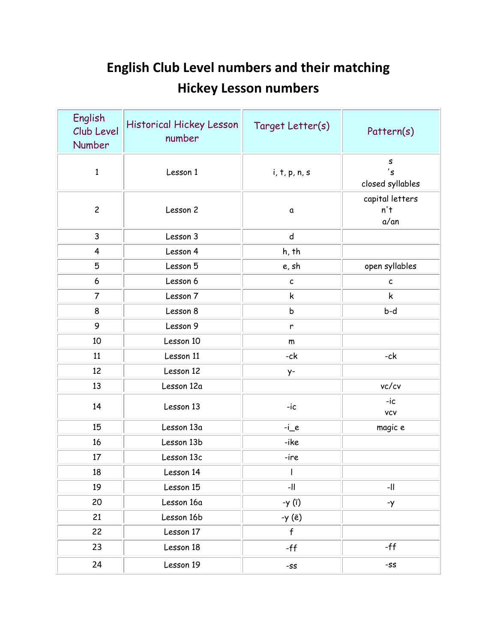## **English Club Level numbers and their matching Hickey Lesson numbers**

| English<br>Club Level<br>Number | Historical Hickey Lesson<br>number | Target Letter(s) | Pattern(s)                             |
|---------------------------------|------------------------------------|------------------|----------------------------------------|
| $\mathbf{1}$                    | Lesson 1                           | i, t, p, n, s    | S<br>'s<br>closed syllables            |
| $\overline{c}$                  | Lesson 2                           | $\mathfrak a$    | capital letters<br>n't<br>$a/\alpha n$ |
| $\mathsf{3}$                    | Lesson 3                           | ${\sf d}$        |                                        |
| $\overline{\mathbf{4}}$         | Lesson 4                           | h, th            |                                        |
| 5                               | Lesson 5                           | e, sh            | open syllables                         |
| 6                               | Lesson 6                           | $\mathsf{c}$     | $\mathsf{c}$                           |
| $\overline{7}$                  | Lesson 7                           | k                | k                                      |
| 8                               | Lesson 8                           | b                | b-d                                    |
| 9                               | Lesson 9                           | $\mathsf{r}$     |                                        |
| 10                              | Lesson 10                          | m                |                                        |
| 11                              | Lesson 11                          | -ck              | -ck                                    |
| 12                              | Lesson 12                          | y-               |                                        |
| 13                              | Lesson 12a                         |                  | vc/cv                                  |
| 14                              | Lesson 13                          | $-ic$            | $-ic$<br><b>VCV</b>                    |
| 15                              | Lesson 13a                         | $-i$ e           | magic e                                |
| 16                              | Lesson 13b                         | -ike             |                                        |
| 17                              | Lesson 13c                         | -ire             |                                        |
| 18                              | Lesson 14                          | $\mathbf{I}$     |                                        |
| 19                              | Lesson 15                          | $\mathsf{I}$     | -11                                    |
| 20                              | Lesson 16a                         | -y (ī)           | $-y$                                   |
| 21                              | Lesson 16b                         | -γ (ē)           |                                        |
| 22                              | Lesson 17                          | $\mathsf{f}$     |                                        |
| 23                              | Lesson 18                          | $-ff$            | -ff                                    |
| 24                              | Lesson 19                          | $-SS$            | -SS                                    |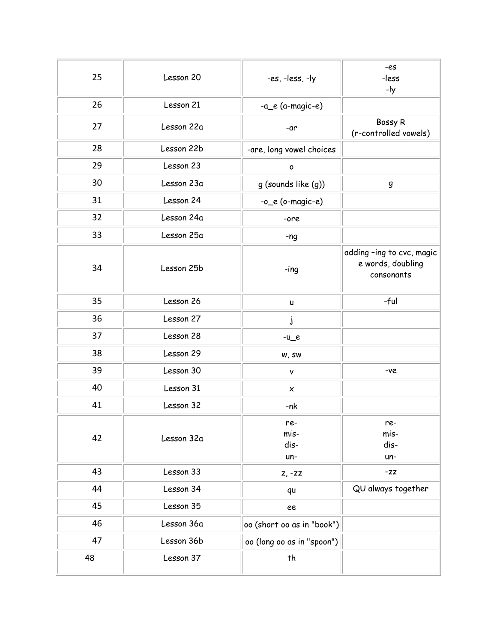| 25 | Lesson 20  | -es, -less, -ly            | -es<br>-less<br>-ly                                          |
|----|------------|----------------------------|--------------------------------------------------------------|
| 26 | Lesson 21  | -a_e (a-magic-e)           |                                                              |
| 27 | Lesson 22a | -ar                        | Bossy R<br>(r-controlled vowels)                             |
| 28 | Lesson 22b | -are, long vowel choices   |                                                              |
| 29 | Lesson 23  | O                          |                                                              |
| 30 | Lesson 23a | g (sounds like (g))        | $\boldsymbol{g}$                                             |
| 31 | Lesson 24  | $-0$ $e$ (o-magic-e)       |                                                              |
| 32 | Lesson 24a | -ore                       |                                                              |
| 33 | Lesson 25a | $-ng$                      |                                                              |
| 34 | Lesson 25b | $-$ ing                    | adding -ing to cvc, magic<br>e words, doubling<br>consonants |
| 35 | Lesson 26  | U                          | -ful                                                         |
| 36 | Lesson 27  | j                          |                                                              |
| 37 | Lesson 28  | $-u$ <sup>e</sup>          |                                                              |
| 38 | Lesson 29  | w, sw                      |                                                              |
| 39 | Lesson 30  | ٧                          | -ve                                                          |
| 40 | Lesson 31  | $\pmb{\times}$             |                                                              |
| 41 | Lesson 32  | -nk                        |                                                              |
| 42 | Lesson 32a | re-<br>mis-<br>dis-<br>un- | re-<br>mis-<br>dis-<br>un-                                   |
| 43 | Lesson 33  | $Z, -ZZ$                   | $-ZZ$                                                        |
| 44 | Lesson 34  | qu                         | QU always together                                           |
| 45 | Lesson 35  | ee                         |                                                              |
| 46 | Lesson 36a | oo (short oo as in "book") |                                                              |
| 47 | Lesson 36b | oo (long oo as in "spoon") |                                                              |
| 48 | Lesson 37  | th                         |                                                              |